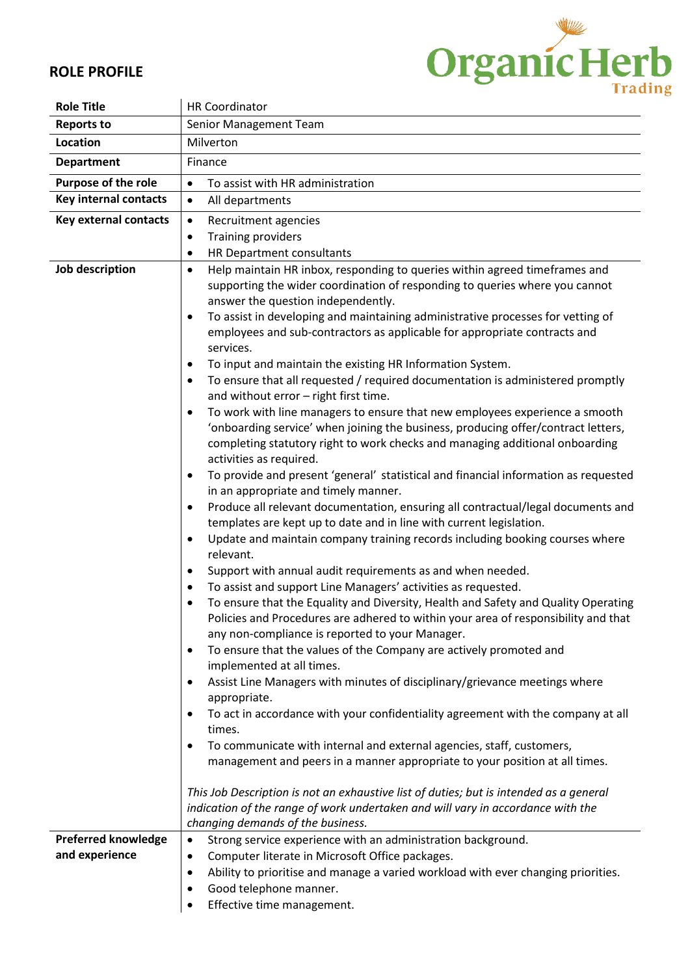

## **ROLE PROFILE**

| <b>Role Title</b>            | <b>HR Coordinator</b>                                                                                                                                                                                                                                                            |  |  |
|------------------------------|----------------------------------------------------------------------------------------------------------------------------------------------------------------------------------------------------------------------------------------------------------------------------------|--|--|
| <b>Reports to</b>            | Senior Management Team                                                                                                                                                                                                                                                           |  |  |
| Location                     | Milverton                                                                                                                                                                                                                                                                        |  |  |
| <b>Department</b>            | Finance                                                                                                                                                                                                                                                                          |  |  |
| <b>Purpose of the role</b>   | To assist with HR administration<br>$\bullet$                                                                                                                                                                                                                                    |  |  |
| <b>Key internal contacts</b> | All departments<br>$\bullet$                                                                                                                                                                                                                                                     |  |  |
| <b>Key external contacts</b> | Recruitment agencies<br>$\bullet$                                                                                                                                                                                                                                                |  |  |
|                              | <b>Training providers</b><br>$\bullet$                                                                                                                                                                                                                                           |  |  |
|                              | HR Department consultants<br>٠                                                                                                                                                                                                                                                   |  |  |
| Job description              | Help maintain HR inbox, responding to queries within agreed timeframes and<br>$\bullet$<br>supporting the wider coordination of responding to queries where you cannot<br>answer the question independently.                                                                     |  |  |
|                              | To assist in developing and maintaining administrative processes for vetting of<br>$\bullet$<br>employees and sub-contractors as applicable for appropriate contracts and<br>services.                                                                                           |  |  |
|                              | To input and maintain the existing HR Information System.<br>٠                                                                                                                                                                                                                   |  |  |
|                              | To ensure that all requested / required documentation is administered promptly<br>$\bullet$<br>and without error - right first time.                                                                                                                                             |  |  |
|                              | To work with line managers to ensure that new employees experience a smooth<br>٠<br>'onboarding service' when joining the business, producing offer/contract letters,<br>completing statutory right to work checks and managing additional onboarding<br>activities as required. |  |  |
|                              | To provide and present 'general' statistical and financial information as requested<br>٠<br>in an appropriate and timely manner.                                                                                                                                                 |  |  |
|                              | Produce all relevant documentation, ensuring all contractual/legal documents and<br>٠<br>templates are kept up to date and in line with current legislation.                                                                                                                     |  |  |
|                              | Update and maintain company training records including booking courses where<br>$\bullet$<br>relevant.                                                                                                                                                                           |  |  |
|                              | Support with annual audit requirements as and when needed.                                                                                                                                                                                                                       |  |  |
|                              | To assist and support Line Managers' activities as requested.<br>$\bullet$                                                                                                                                                                                                       |  |  |
|                              | To ensure that the Equality and Diversity, Health and Safety and Quality Operating<br>Policies and Procedures are adhered to within your area of responsibility and that<br>any non-compliance is reported to your Manager.                                                      |  |  |
|                              | To ensure that the values of the Company are actively promoted and<br>$\bullet$<br>implemented at all times.                                                                                                                                                                     |  |  |
|                              | Assist Line Managers with minutes of disciplinary/grievance meetings where<br>appropriate.                                                                                                                                                                                       |  |  |
|                              | To act in accordance with your confidentiality agreement with the company at all<br>$\bullet$<br>times.                                                                                                                                                                          |  |  |
|                              | To communicate with internal and external agencies, staff, customers,<br>management and peers in a manner appropriate to your position at all times.                                                                                                                             |  |  |
|                              | This Job Description is not an exhaustive list of duties; but is intended as a general<br>indication of the range of work undertaken and will vary in accordance with the<br>changing demands of the business.                                                                   |  |  |
| <b>Preferred knowledge</b>   | Strong service experience with an administration background.<br>$\bullet$                                                                                                                                                                                                        |  |  |
| and experience               | Computer literate in Microsoft Office packages.<br>٠                                                                                                                                                                                                                             |  |  |
|                              | Ability to prioritise and manage a varied workload with ever changing priorities.<br>$\bullet$                                                                                                                                                                                   |  |  |
|                              | Good telephone manner.                                                                                                                                                                                                                                                           |  |  |
|                              | Effective time management.                                                                                                                                                                                                                                                       |  |  |